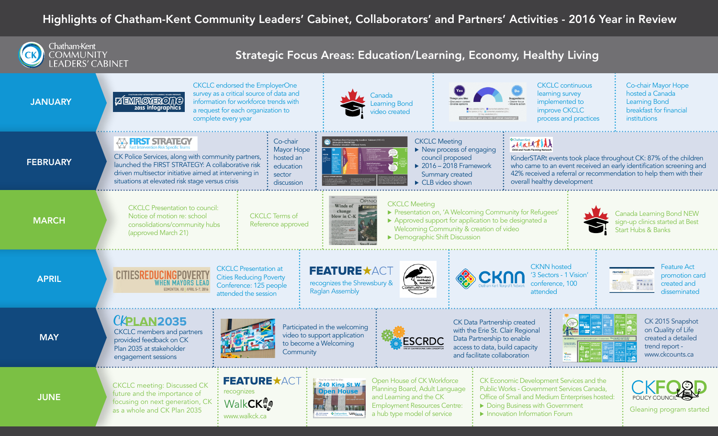## Highlights of Chatham-Kent Community Leaders' Cabinet, Collaborators' and Partners' Activities - 2016 Year in Review